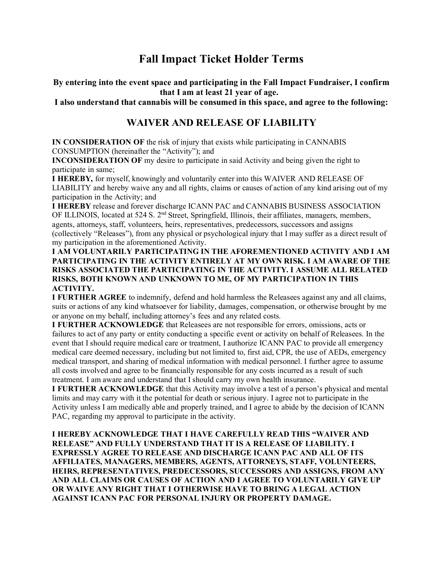# **Fall Impact Ticket Holder Terms**

**By entering into the event space and participating in the Fall Impact Fundraiser, I confirm that I am at least 21 year of age.** 

**I also understand that cannabis will be consumed in this space, and agree to the following:**

## **WAIVER AND RELEASE OF LIABILITY**

**IN CONSIDERATION OF** the risk of injury that exists while participating in CANNABIS CONSUMPTION (hereinafter the "Activity"); and

**INCONSIDERATION OF** my desire to participate in said Activity and being given the right to participate in same;

**I HEREBY,** for myself, knowingly and voluntarily enter into this WAIVER AND RELEASE OF LIABILITY and hereby waive any and all rights, claims or causes of action of any kind arising out of my participation in the Activity; and

**I HEREBY** release and forever discharge ICANN PAC and CANNABIS BUSINESS ASSOCIATION OF ILLINOIS, located at 524 S. 2<sup>nd</sup> Street, Springfield, Illinois, their affiliates, managers, members, agents, attorneys, staff, volunteers, heirs, representatives, predecessors, successors and assigns (collectively "Releases"), from any physical or psychological injury that I may suffer as a direct result of my participation in the aforementioned Activity.

**I AM VOLUNTARILY PARTICIPATING IN THE AFOREMENTIONED ACTIVITY AND I AM PARTICIPATING IN THE ACTIVITY ENTIRELY AT MY OWN RISK. I AM AWARE OF THE RISKS ASSOCIATED THE PARTICIPATING IN THE ACTIVITY. I ASSUME ALL RELATED RISKS, BOTH KNOWN AND UNKNOWN TO ME, OF MY PARTICIPATION IN THIS ACTIVITY.**

**I FURTHER AGREE** to indemnify, defend and hold harmless the Releasees against any and all claims, suits or actions of any kind whatsoever for liability, damages, compensation, or otherwise brought by me or anyone on my behalf, including attorney's fees and any related costs.

**I FURTHER ACKNOWLEDGE** that Releasees are not responsible for errors, omissions, acts or failures to act of any party or entity conducting a specific event or activity on behalf of Releasees. In the event that I should require medical care or treatment, I authorize ICANN PAC to provide all emergency medical care deemed necessary, including but not limited to, first aid, CPR, the use of AEDs, emergency medical transport, and sharing of medical information with medical personnel. I further agree to assume all costs involved and agree to be financially responsible for any costs incurred as a result of such treatment. I am aware and understand that I should carry my own health insurance.

**I FURTHER ACKNOWLEDGE** that this Activity may involve a test of a person's physical and mental limits and may carry with it the potential for death or serious injury. I agree not to participate in the Activity unless I am medically able and properly trained, and I agree to abide by the decision of ICANN PAC, regarding my approval to participate in the activity.

**I HEREBY ACKNOWLEDGE THAT I HAVE CAREFULLY READ THIS "WAIVER AND RELEASE" AND FULLY UNDERSTAND THAT IT IS A RELEASE OF LIABILITY. I EXPRESSLY AGREE TO RELEASE AND DISCHARGE ICANN PAC AND ALL OF ITS AFFILIATES, MANAGERS, MEMBERS, AGENTS, ATTORNEYS, STAFF, VOLUNTEERS, HEIRS, REPRESENTATIVES, PREDECESSORS, SUCCESSORS AND ASSIGNS, FROM ANY AND ALL CLAIMS OR CAUSES OF ACTION AND I AGREE TO VOLUNTARILY GIVE UP OR WAIVE ANY RIGHT THAT I OTHERWISE HAVE TO BRING A LEGAL ACTION AGAINST ICANN PAC FOR PERSONAL INJURY OR PROPERTY DAMAGE.**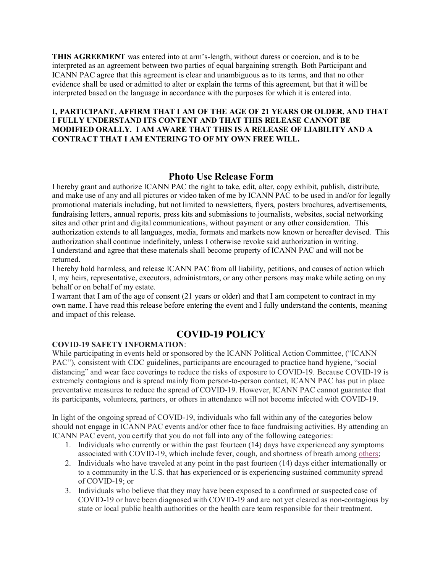**THIS AGREEMENT** was entered into at arm's-length, without duress or coercion, and is to be interpreted as an agreement between two parties of equal bargaining strength. Both Participant and ICANN PAC agree that this agreement is clear and unambiguous as to its terms, and that no other evidence shall be used or admitted to alter or explain the terms of this agreement, but that it will be interpreted based on the language in accordance with the purposes for which it is entered into.

### **I, PARTICIPANT, AFFIRM THAT I AM OF THE AGE OF 21 YEARS OR OLDER, AND THAT I FULLY UNDERSTAND ITS CONTENT AND THAT THIS RELEASE CANNOT BE MODIFIED ORALLY. I AM AWARE THAT THIS IS A RELEASE OF LIABILITY AND A CONTRACT THAT I AM ENTERING TO OF MY OWN FREE WILL.**

### **Photo Use Release Form**

I hereby grant and authorize ICANN PAC the right to take, edit, alter, copy exhibit, publish, distribute, and make use of any and all pictures or video taken of me by ICANN PAC to be used in and/or for legally promotional materials including, but not limited to newsletters, flyers, posters brochures, advertisements, fundraising letters, annual reports, press kits and submissions to journalists, websites, social networking sites and other print and digital communications, without payment or any other consideration. This authorization extends to all languages, media, formats and markets now known or hereafter devised. This authorization shall continue indefinitely, unless I otherwise revoke said authorization in writing. I understand and agree that these materials shall become property of ICANN PAC and will not be returned.

I hereby hold harmless, and release ICANN PAC from all liability, petitions, and causes of action which I, my heirs, representative, executors, administrators, or any other persons may make while acting on my behalf or on behalf of my estate.

I warrant that I am of the age of consent (21 years or older) and that I am competent to contract in my own name. I have read this release before entering the event and I fully understand the contents, meaning and impact of this release.

### **COVID-19 POLICY**

#### **COVID-19 SAFETY INFORMATION**:

While participating in events held or sponsored by the ICANN Political Action Committee, ("ICANN PAC"), consistent with CDC guidelines, participants are encouraged to practice hand hygiene, "social distancing" and wear face coverings to reduce the risks of exposure to COVID-19. Because COVID-19 is extremely contagious and is spread mainly from person-to-person contact, ICANN PAC has put in place preventative measures to reduce the spread of COVID-19. However, ICANN PAC cannot guarantee that its participants, volunteers, partners, or others in attendance will not become infected with COVID-19.

In light of the ongoing spread of COVID-19, individuals who fall within any of the categories below should not engage in ICANN PAC events and/or other face to face fundraising activities. By attending an ICANN PAC event, you certify that you do not fall into any of the following categories:

- 1. Individuals who currently or within the past fourteen (14) days have experienced any symptoms associated with COVID-19, which include fever, cough, and shortness of breath among [others;](https://www.cdc.gov/coronavirus/2019-ncov/symptoms-testing/symptoms.html)
- 2. Individuals who have traveled at any point in the past fourteen (14) days either internationally or to a community in the U.S. that has experienced or is experiencing sustained community spread of COVID-19; or
- 3. Individuals who believe that they may have been exposed to a confirmed or suspected case of COVID-19 or have been diagnosed with COVID-19 and are not yet cleared as non-contagious by state or local public health authorities or the health care team responsible for their treatment.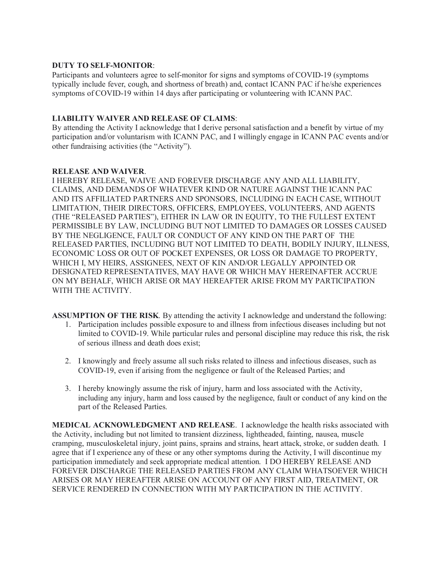### **DUTY TO SELF-MONITOR**:

Participants and volunteers agree to self-monitor for signs and symptoms of COVID-19 (symptoms typically include fever, cough, and shortness of breath) and, contact ICANN PAC if he/she experiences symptoms of COVID-19 within 14 days after participating or volunteering with ICANN PAC.

### **LIABILITY WAIVER AND RELEASE OF CLAIMS**:

By attending the Activity I acknowledge that I derive personal satisfaction and a benefit by virtue of my participation and/or voluntarism with ICANN PAC, and I willingly engage in ICANN PAC events and/or other fundraising activities (the "Activity").

### **RELEASE AND WAIVER**.

I HEREBY RELEASE, WAIVE AND FOREVER DISCHARGE ANY AND ALL LIABILITY, CLAIMS, AND DEMANDS OF WHATEVER KIND OR NATURE AGAINST THE ICANN PAC AND ITS AFFILIATED PARTNERS AND SPONSORS, INCLUDING IN EACH CASE, WITHOUT LIMITATION, THEIR DIRECTORS, OFFICERS, EMPLOYEES, VOLUNTEERS, AND AGENTS (THE "RELEASED PARTIES"), EITHER IN LAW OR IN EQUITY, TO THE FULLEST EXTENT PERMISSIBLE BY LAW, INCLUDING BUT NOT LIMITED TO DAMAGES OR LOSSES CAUSED BY THE NEGLIGENCE, FAULT OR CONDUCT OF ANY KIND ON THE PART OF THE RELEASED PARTIES, INCLUDING BUT NOT LIMITED TO DEATH, BODILY INJURY, ILLNESS, ECONOMIC LOSS OR OUT OF POCKET EXPENSES, OR LOSS OR DAMAGE TO PROPERTY, WHICH I, MY HEIRS, ASSIGNEES, NEXT OF KIN AND/OR LEGALLY APPOINTED OR DESIGNATED REPRESENTATIVES, MAY HAVE OR WHICH MAY HEREINAFTER ACCRUE ON MY BEHALF, WHICH ARISE OR MAY HEREAFTER ARISE FROM MY PARTICIPATION WITH THE ACTIVITY.

**ASSUMPTION OF THE RISK**. By attending the activity I acknowledge and understand the following: 1. Participation includes possible exposure to and illness from infectious diseases including but not limited to COVID-19. While particular rules and personal discipline may reduce this risk, the risk of serious illness and death does exist;

- 2. I knowingly and freely assume all such risks related to illness and infectious diseases, such as COVID-19, even if arising from the negligence or fault of the Released Parties; and
- 3. I hereby knowingly assume the risk of injury, harm and loss associated with the Activity, including any injury, harm and loss caused by the negligence, fault or conduct of any kind on the part of the Released Parties.

**MEDICAL ACKNOWLEDGMENT AND RELEASE**. I acknowledge the health risks associated with the Activity, including but not limited to transient dizziness, lightheaded, fainting, nausea, muscle cramping, musculoskeletal injury, joint pains, sprains and strains, heart attack, stroke, or sudden death. I agree that if I experience any of these or any other symptoms during the Activity, I will discontinue my participation immediately and seek appropriate medical attention. I DO HEREBY RELEASE AND FOREVER DISCHARGE THE RELEASED PARTIES FROM ANY CLAIM WHATSOEVER WHICH ARISES OR MAY HEREAFTER ARISE ON ACCOUNT OF ANY FIRST AID, TREATMENT, OR SERVICE RENDERED IN CONNECTION WITH MY PARTICIPATION IN THE ACTIVITY.